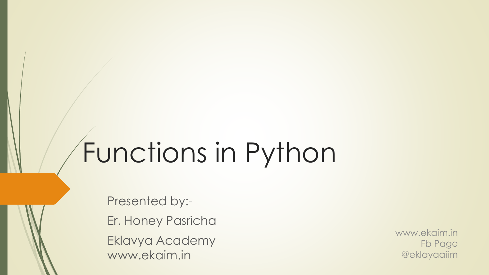# Functions in Python

Presented by:- Er. Honey Pasricha Eklavya Academy www.ekaim.in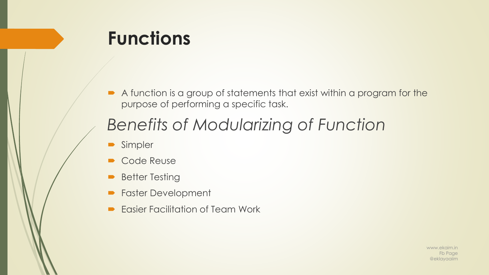# **Functions**

A function is a group of statements that exist within a program for the purpose of performing a specific task.

### *Benefits of Modularizing of Function*

- **Simpler**
- Code Reuse
- Better Testing
- **Faster Development**
- Easier Facilitation of Team Work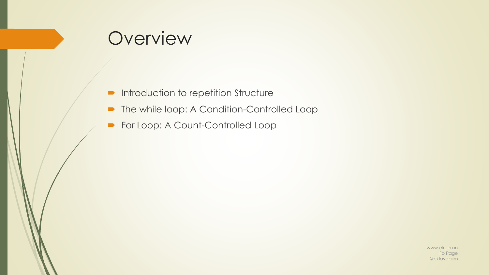### Overview

- **Introduction to repetition Structure**
- The while loop: A Condition-Controlled Loop
- For Loop: A Count-Controlled Loop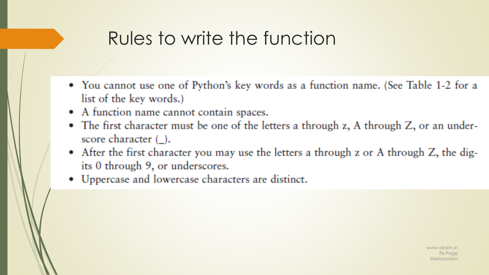# Rules to write the function

- You cannot use one of Python's key words as a function name. (See Table 1-2 for a list of the key words.)
- A function name cannot contain spaces.
- The first character must be one of the letters a through z, A through Z, or an underscore character  $(\_)$ .
- After the first character you may use the letters a through z or A through Z, the digits 0 through 9, or underscores.
- Uppercase and lowercase characters are distinct.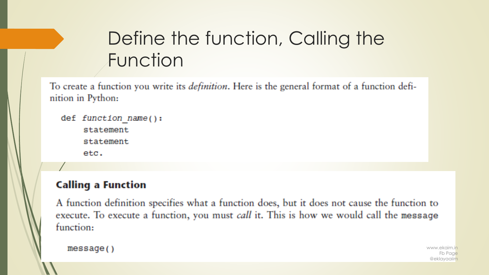# Define the function, Calling the Function

To create a function you write its *definition*. Here is the general format of a function definition in Python:

```
def function name():statement
    statement
    etc.
```
### **Calling a Function**

A function definition specifies what a function does, but it does not cause the function to execute. To execute a function, you must call it. This is how we would call the message function:

```
message()
```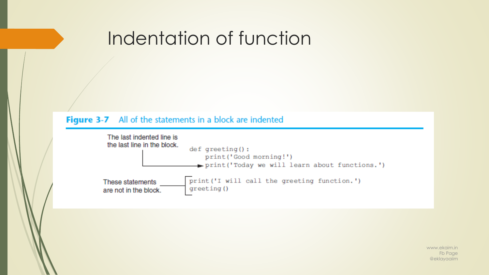### Indentation of function

#### Figure 3-7 All of the statements in a block are indented

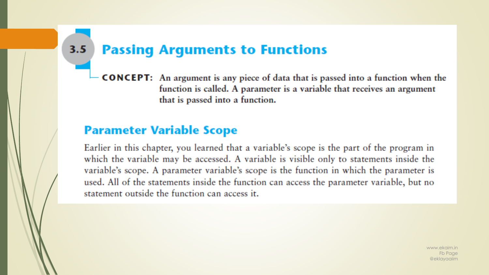#### $3.5$ **Passing Arguments to Functions**

**CONCEPT:** An argument is any piece of data that is passed into a function when the function is called. A parameter is a variable that receives an argument that is passed into a function.

### **Parameter Variable Scope**

Earlier in this chapter, you learned that a variable's scope is the part of the program in which the variable may be accessed. A variable is visible only to statements inside the variable's scope. A parameter variable's scope is the function in which the parameter is used. All of the statements inside the function can access the parameter variable, but no statement outside the function can access it.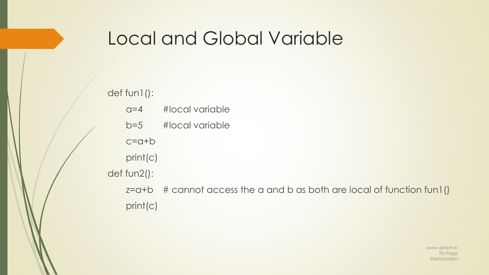### Local and Global Variable

### def fun1(): a=4 #local variable b=5 #local variable c=a+b print(c) def fun2():  $z=$ a+b  $\#$  cannot access the a and b as both are local of function fun1() print(c)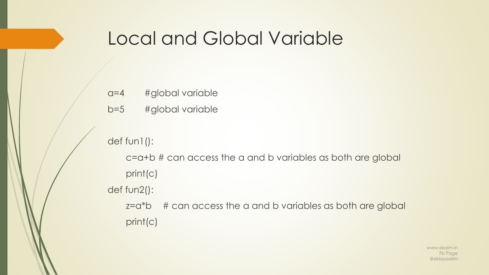### Local and Global Variable

- a=4 #global variable
- b=5 #global variable

### def fun1():

- c=a+b # can access the a and b variables as both are global print(c)
- def fun2():
	- z=a\*b # can access the a and b variables as both are global print(c)